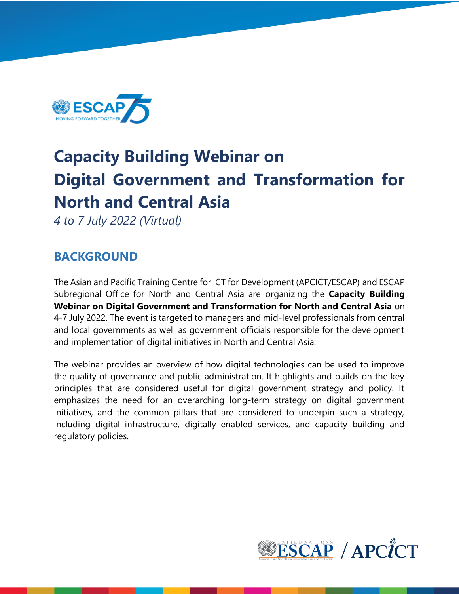

# **Capacity Building Webinar on Digital Government and Transformation for North and Central Asia**

*4 to 7 July 2022 (Virtual)*

### **BACKGROUND**

The Asian and Pacific Training Centre for ICT for Development (APCICT/ESCAP) and ESCAP Subregional Office for North and Central Asia are organizing the **Capacity Building Webinar on Digital Government and Transformation for North and Central Asia** on 4-7 July 2022. The event is targeted to managers and mid-level professionals from central and local governments as well as government officials responsible for the development and implementation of digital initiatives in North and Central Asia.

The webinar provides an overview of how digital technologies can be used to improve the quality of governance and public administration. It highlights and builds on the key principles that are considered useful for digital government strategy and policy. It emphasizes the need for an overarching long-term strategy on digital government initiatives, and the common pillars that are considered to underpin such a strategy, including digital infrastructure, digitally enabled services, and capacity building and regulatory policies.

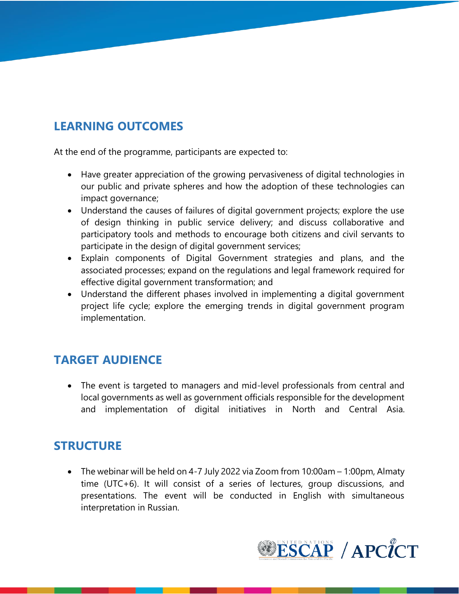### **LEARNING OUTCOMES**

At the end of the programme, participants are expected to:

- Have greater appreciation of the growing pervasiveness of digital technologies in our public and private spheres and how the adoption of these technologies can impact governance;
- Understand the causes of failures of digital government projects; explore the use of design thinking in public service delivery; and discuss collaborative and participatory tools and methods to encourage both citizens and civil servants to participate in the design of digital government services;
- Explain components of Digital Government strategies and plans, and the associated processes; expand on the regulations and legal framework required for effective digital government transformation; and
- Understand the different phases involved in implementing a digital government project life cycle; explore the emerging trends in digital government program implementation.

## **TARGET AUDIENCE**

• The event is targeted to managers and mid-level professionals from central and local governments as well as government officials responsible for the development and implementation of digital initiatives in North and Central Asia.

### **STRUCTURE**

• The webinar will be held on 4-7 July 2022 via Zoom from 10:00am – 1:00pm, Almaty time (UTC+6). It will consist of a series of lectures, group discussions, and presentations. The event will be conducted in English with simultaneous interpretation in Russian.

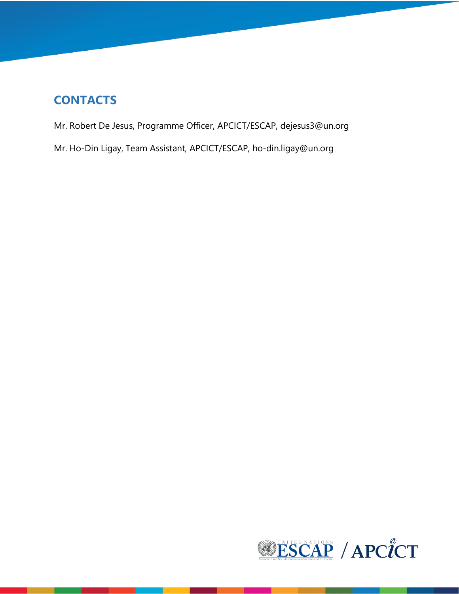### **CONTACTS**

Mr. Robert De Jesus, Programme Officer, APCICT/ESCAP, [dejesus3@un.org](mailto:dejesus3@un.org)

Mr. Ho-Din Ligay, Team Assistant, APCICT/ESCAP, [ho-din.ligay@un.org](mailto:ho-din.ligay@un.org)

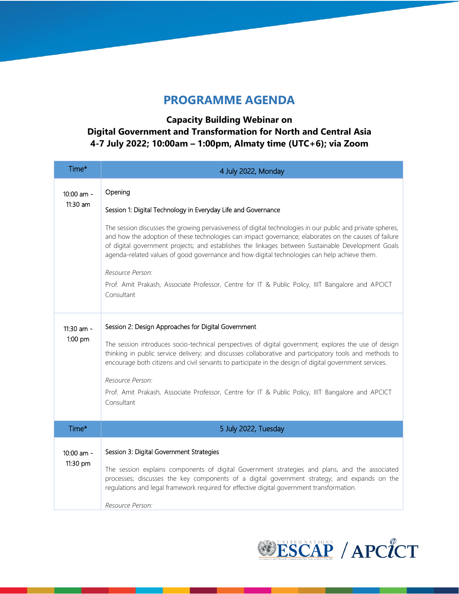#### **PROGRAMME AGENDA**

#### **Capacity Building Webinar on Digital Government and Transformation for North and Central Asia 4-7 July 2022; 10:00am – 1:00pm, Almaty time (UTC+6); via Zoom**

| Time*                    | 4 July 2022, Monday                                                                                                                                                                                                                                                                                                                                                                                                       |  |  |  |  |
|--------------------------|---------------------------------------------------------------------------------------------------------------------------------------------------------------------------------------------------------------------------------------------------------------------------------------------------------------------------------------------------------------------------------------------------------------------------|--|--|--|--|
| 10:00 am -               | Opening                                                                                                                                                                                                                                                                                                                                                                                                                   |  |  |  |  |
| 11:30 am                 | Session 1: Digital Technology in Everyday Life and Governance                                                                                                                                                                                                                                                                                                                                                             |  |  |  |  |
|                          | The session discusses the growing pervasiveness of digital technologies in our public and private spheres,<br>and how the adoption of these technologies can impact governance; elaborates on the causes of failure<br>of digital government projects; and establishes the linkages between Sustainable Development Goals<br>agenda-related values of good governance and how digital technologies can help achieve them. |  |  |  |  |
|                          | Resource Person:<br>Prof. Amit Prakash, Associate Professor, Centre for IT & Public Policy, IIIT Bangalore and APCICT<br>Consultant                                                                                                                                                                                                                                                                                       |  |  |  |  |
| 11:30 am -<br>1:00 pm    | Session 2: Design Approaches for Digital Government                                                                                                                                                                                                                                                                                                                                                                       |  |  |  |  |
|                          | The session introduces socio-technical perspectives of digital government; explores the use of design<br>thinking in public service delivery; and discusses collaborative and participatory tools and methods to<br>encourage both citizens and civil servants to participate in the design of digital government services.                                                                                               |  |  |  |  |
|                          | Resource Person:                                                                                                                                                                                                                                                                                                                                                                                                          |  |  |  |  |
|                          | Prof. Amit Prakash, Associate Professor, Centre for IT & Public Policy, IIIT Bangalore and APCICT<br>Consultant                                                                                                                                                                                                                                                                                                           |  |  |  |  |
| Time*                    | 5 July 2022, Tuesday                                                                                                                                                                                                                                                                                                                                                                                                      |  |  |  |  |
|                          |                                                                                                                                                                                                                                                                                                                                                                                                                           |  |  |  |  |
| $10:00$ am -<br>11:30 pm | Session 3: Digital Government Strategies                                                                                                                                                                                                                                                                                                                                                                                  |  |  |  |  |
|                          | The session explains components of digital Government strategies and plans, and the associated<br>processes; discusses the key components of a digital government strategy; and expands on the<br>regulations and legal framework required for effective digital government transformation.                                                                                                                               |  |  |  |  |
|                          | Resource Person:                                                                                                                                                                                                                                                                                                                                                                                                          |  |  |  |  |

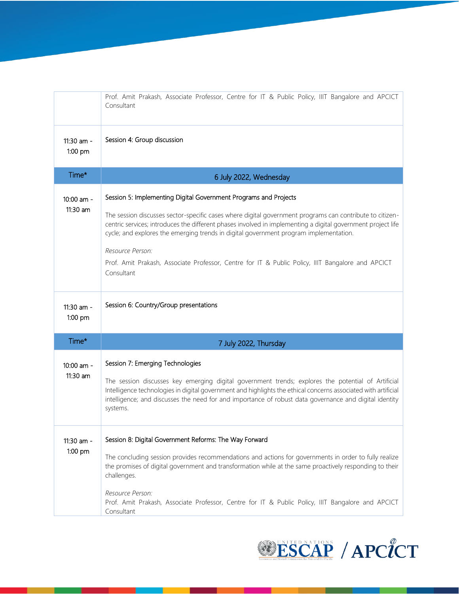|                         | Prof. Amit Prakash, Associate Professor, Centre for IT & Public Policy, IIIT Bangalore and APCICT<br>Consultant                                                                                                                                                                                                                                                                                                                                                                                                              |  |  |  |  |  |
|-------------------------|------------------------------------------------------------------------------------------------------------------------------------------------------------------------------------------------------------------------------------------------------------------------------------------------------------------------------------------------------------------------------------------------------------------------------------------------------------------------------------------------------------------------------|--|--|--|--|--|
| 11:30 am -<br>1:00 pm   | Session 4: Group discussion                                                                                                                                                                                                                                                                                                                                                                                                                                                                                                  |  |  |  |  |  |
| Time*                   | 6 July 2022, Wednesday                                                                                                                                                                                                                                                                                                                                                                                                                                                                                                       |  |  |  |  |  |
| 10:00 am -<br>11:30 am  | Session 5: Implementing Digital Government Programs and Projects<br>The session discusses sector-specific cases where digital government programs can contribute to citizen-<br>centric services; introduces the different phases involved in implementing a digital government project life<br>cycle; and explores the emerging trends in digital government program implementation.<br>Resource Person:<br>Prof. Amit Prakash, Associate Professor, Centre for IT & Public Policy, IIIT Bangalore and APCICT<br>Consultant |  |  |  |  |  |
| 11:30 am -<br>$1:00$ pm | Session 6: Country/Group presentations                                                                                                                                                                                                                                                                                                                                                                                                                                                                                       |  |  |  |  |  |
| Time*                   | 7 July 2022, Thursday                                                                                                                                                                                                                                                                                                                                                                                                                                                                                                        |  |  |  |  |  |
| 10:00 am -<br>11:30 am  | Session 7: Emerging Technologies<br>The session discusses key emerging digital government trends; explores the potential of Artificial<br>Intelligence technologies in digital government and highlights the ethical concerns associated with artificial<br>intelligence; and discusses the need for and importance of robust data governance and digital identity<br>systems.                                                                                                                                               |  |  |  |  |  |
| 11:30 am -<br>1:00 pm   | Session 8: Digital Government Reforms: The Way Forward<br>The concluding session provides recommendations and actions for governments in order to fully realize<br>the promises of digital government and transformation while at the same proactively responding to their<br>challenges.<br>Resource Person:<br>Prof. Amit Prakash, Associate Professor, Centre for IT & Public Policy, IIIT Bangalore and APCICT<br>Consultant                                                                                             |  |  |  |  |  |